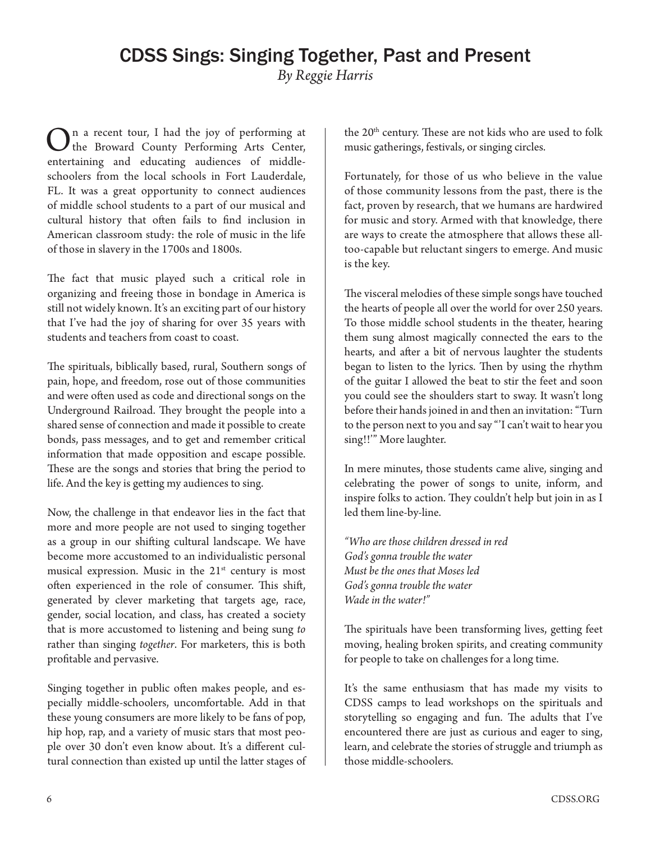In a recent tour, I had the joy of performing at the Broward County Performing Arts Center, entertaining and educating audiences of middleschoolers from the local schools in Fort Lauderdale, FL. It was a great opportunity to connect audiences of middle school students to a part of our musical and cultural history that often fails to find inclusion in American classroom study: the role of music in the life of those in slavery in the 1700s and 1800s.

The fact that music played such a critical role in organizing and freeing those in bondage in America is still not widely known. It's an exciting part of our history that I've had the joy of sharing for over 35 years with students and teachers from coast to coast.

The spirituals, biblically based, rural, Southern songs of pain, hope, and freedom, rose out of those communities and were often used as code and directional songs on the Underground Railroad. They brought the people into a shared sense of connection and made it possible to create bonds, pass messages, and to get and remember critical information that made opposition and escape possible. These are the songs and stories that bring the period to life. And the key is getting my audiences to sing.

Now, the challenge in that endeavor lies in the fact that more and more people are not used to singing together as a group in our shifting cultural landscape. We have become more accustomed to an individualistic personal musical expression. Music in the  $21<sup>st</sup>$  century is most often experienced in the role of consumer. This shift, generated by clever marketing that targets age, race, gender, social location, and class, has created a society that is more accustomed to listening and being sung *to* rather than singing *together*. For marketers, this is both profitable and pervasive.

Singing together in public often makes people, and especially middle-schoolers, uncomfortable. Add in that these young consumers are more likely to be fans of pop, hip hop, rap, and a variety of music stars that most people over 30 don't even know about. It's a different cultural connection than existed up until the latter stages of the 20<sup>th</sup> century. These are not kids who are used to folk music gatherings, festivals, or singing circles.

Fortunately, for those of us who believe in the value of those community lessons from the past, there is the fact, proven by research, that we humans are hardwired for music and story. Armed with that knowledge, there are ways to create the atmosphere that allows these alltoo-capable but reluctant singers to emerge. And music is the key.

The visceral melodies of these simple songs have touched the hearts of people all over the world for over 250 years. To those middle school students in the theater, hearing them sung almost magically connected the ears to the hearts, and after a bit of nervous laughter the students began to listen to the lyrics. Then by using the rhythm of the guitar I allowed the beat to stir the feet and soon you could see the shoulders start to sway. It wasn't long before their hands joined in and then an invitation: "Turn to the person next to you and say "'I can't wait to hear you sing!!'" More laughter.

In mere minutes, those students came alive, singing and celebrating the power of songs to unite, inform, and inspire folks to action. They couldn't help but join in as I led them line-by-line.

*"Who are those children dressed in red God's gonna trouble the water Must be the ones that Moses led God's gonna trouble the water Wade in the water!"*

The spirituals have been transforming lives, getting feet moving, healing broken spirits, and creating community for people to take on challenges for a long time.

It's the same enthusiasm that has made my visits to CDSS camps to lead workshops on the spirituals and storytelling so engaging and fun. The adults that I've encountered there are just as curious and eager to sing, learn, and celebrate the stories of struggle and triumph as those middle-schoolers.